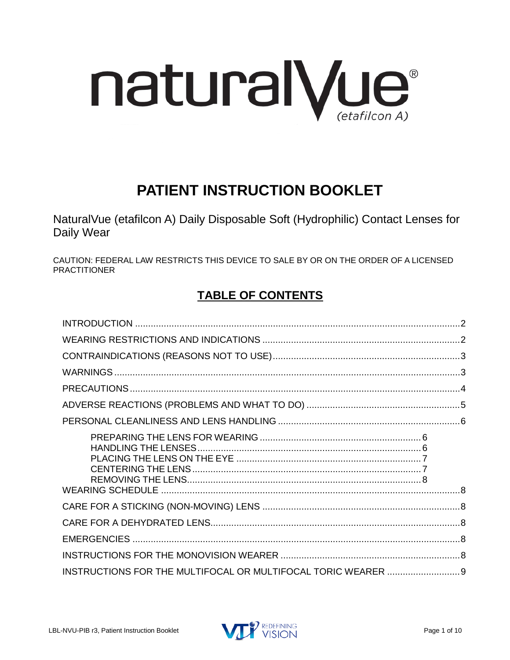

# **PATIENT INSTRUCTION BOOKLET**

NaturalVue (etafilcon A) Daily Disposable Soft (Hydrophilic) Contact Lenses for Daily Wear

CAUTION: FEDERAL LAW RESTRICTS THIS DEVICE TO SALE BY OR ON THE ORDER OF A LICENSED PRACTITIONER

# **TABLE OF CONTENTS**

| INSTRUCTIONS FOR THE MULTIFOCAL OR MULTIFOCAL TORIC WEARER  9 |  |
|---------------------------------------------------------------|--|

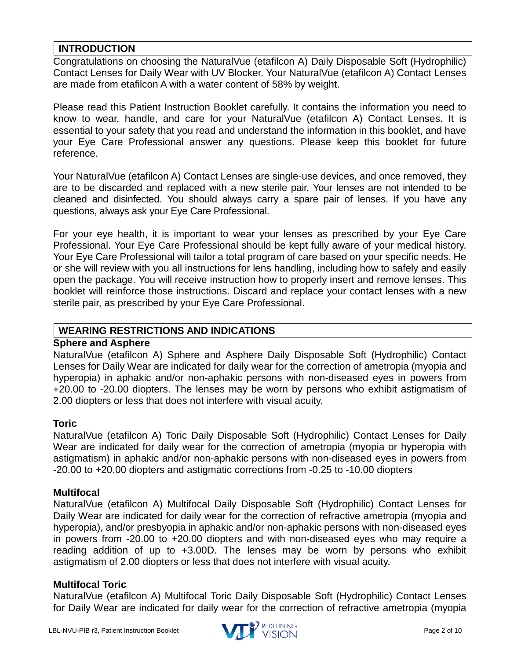# <span id="page-1-0"></span>**INTRODUCTION**

Congratulations on choosing the NaturalVue (etafilcon A) Daily Disposable Soft (Hydrophilic) Contact Lenses for Daily Wear with UV Blocker. Your NaturalVue (etafilcon A) Contact Lenses are made from etafilcon A with a water content of 58% by weight.

Please read this Patient Instruction Booklet carefully. It contains the information you need to know to wear, handle, and care for your NaturalVue (etafilcon A) Contact Lenses. It is essential to your safety that you read and understand the information in this booklet, and have your Eye Care Professional answer any questions. Please keep this booklet for future reference.

Your NaturalVue (etafilcon A) Contact Lenses are single-use devices, and once removed, they are to be discarded and replaced with a new sterile pair. Your lenses are not intended to be cleaned and disinfected. You should always carry a spare pair of lenses. If you have any questions, always ask your Eye Care Professional.

For your eye health, it is important to wear your lenses as prescribed by your Eye Care Professional. Your Eye Care Professional should be kept fully aware of your medical history. Your Eye Care Professional will tailor a total program of care based on your specific needs. He or she will review with you all instructions for lens handling, including how to safely and easily open the package. You will receive instruction how to properly insert and remove lenses. This booklet will reinforce those instructions. Discard and replace your contact lenses with a new sterile pair, as prescribed by your Eye Care Professional.

#### <span id="page-1-1"></span>**WEARING RESTRICTIONS AND INDICATIONS**

#### **Sphere and Asphere**

NaturalVue (etafilcon A) Sphere and Asphere Daily Disposable Soft (Hydrophilic) Contact Lenses for Daily Wear are indicated for daily wear for the correction of ametropia (myopia and hyperopia) in aphakic and/or non-aphakic persons with non-diseased eyes in powers from +20.00 to -20.00 diopters. The lenses may be worn by persons who exhibit astigmatism of 2.00 diopters or less that does not interfere with visual acuity.

#### **Toric**

NaturalVue (etafilcon A) Toric Daily Disposable Soft (Hydrophilic) Contact Lenses for Daily Wear are indicated for daily wear for the correction of ametropia (myopia or hyperopia with astigmatism) in aphakic and/or non-aphakic persons with non-diseased eyes in powers from -20.00 to +20.00 diopters and astigmatic corrections from -0.25 to -10.00 diopters

#### **Multifocal**

NaturalVue (etafilcon A) Multifocal Daily Disposable Soft (Hydrophilic) Contact Lenses for Daily Wear are indicated for daily wear for the correction of refractive ametropia (myopia and hyperopia), and/or presbyopia in aphakic and/or non-aphakic persons with non-diseased eyes in powers from -20.00 to +20.00 diopters and with non-diseased eyes who may require a reading addition of up to +3.00D. The lenses may be worn by persons who exhibit astigmatism of 2.00 diopters or less that does not interfere with visual acuity.

#### **Multifocal Toric**

NaturalVue (etafilcon A) Multifocal Toric Daily Disposable Soft (Hydrophilic) Contact Lenses for Daily Wear are indicated for daily wear for the correction of refractive ametropia (myopia

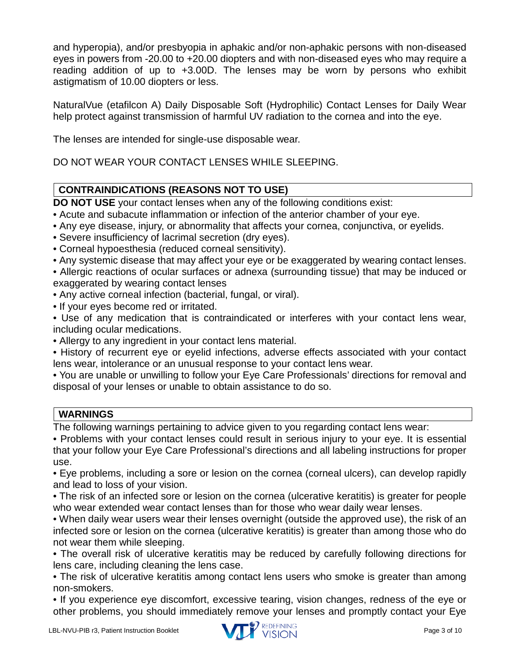and hyperopia), and/or presbyopia in aphakic and/or non-aphakic persons with non-diseased eyes in powers from -20.00 to +20.00 diopters and with non-diseased eyes who may require a reading addition of up to +3.00D. The lenses may be worn by persons who exhibit astigmatism of 10.00 diopters or less.

NaturalVue (etafilcon A) Daily Disposable Soft (Hydrophilic) Contact Lenses for Daily Wear help protect against transmission of harmful UV radiation to the cornea and into the eye.

The lenses are intended for single-use disposable wear.

DO NOT WEAR YOUR CONTACT LENSES WHILE SLEEPING.

# <span id="page-2-0"></span>**CONTRAINDICATIONS (REASONS NOT TO USE)**

**DO NOT USE** your contact lenses when any of the following conditions exist:

- Acute and subacute inflammation or infection of the anterior chamber of your eye.
- Any eye disease, injury, or abnormality that affects your cornea, conjunctiva, or eyelids.
- Severe insufficiency of lacrimal secretion (dry eyes).
- Corneal hypoesthesia (reduced corneal sensitivity).

• Any systemic disease that may affect your eye or be exaggerated by wearing contact lenses.

• Allergic reactions of ocular surfaces or adnexa (surrounding tissue) that may be induced or exaggerated by wearing contact lenses

- Any active corneal infection (bacterial, fungal, or viral).
- If your eyes become red or irritated.

• Use of any medication that is contraindicated or interferes with your contact lens wear, including ocular medications.

• Allergy to any ingredient in your contact lens material.

• History of recurrent eye or eyelid infections, adverse effects associated with your contact lens wear, intolerance or an unusual response to your contact lens wear.

• You are unable or unwilling to follow your Eye Care Professionals' directions for removal and disposal of your lenses or unable to obtain assistance to do so.

# <span id="page-2-1"></span>**WARNINGS**

The following warnings pertaining to advice given to you regarding contact lens wear:

• Problems with your contact lenses could result in serious injury to your eye. It is essential that your follow your Eye Care Professional's directions and all labeling instructions for proper use.

• Eye problems, including a sore or lesion on the cornea (corneal ulcers), can develop rapidly and lead to loss of your vision.

• The risk of an infected sore or lesion on the cornea (ulcerative keratitis) is greater for people who wear extended wear contact lenses than for those who wear daily wear lenses.

• When daily wear users wear their lenses overnight (outside the approved use), the risk of an infected sore or lesion on the cornea (ulcerative keratitis) is greater than among those who do not wear them while sleeping.

• The overall risk of ulcerative keratitis may be reduced by carefully following directions for lens care, including cleaning the lens case.

• The risk of ulcerative keratitis among contact lens users who smoke is greater than among non-smokers.

• If you experience eye discomfort, excessive tearing, vision changes, redness of the eye or other problems, you should immediately remove your lenses and promptly contact your Eye

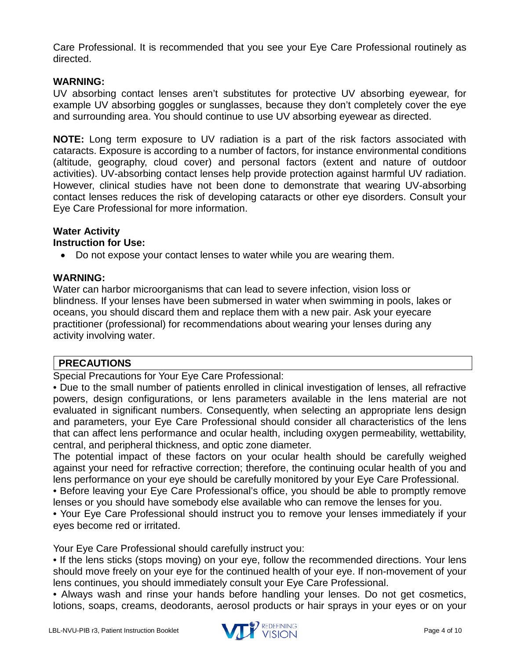Care Professional. It is recommended that you see your Eye Care Professional routinely as directed.

#### **WARNING:**

UV absorbing contact lenses aren't substitutes for protective UV absorbing eyewear, for example UV absorbing goggles or sunglasses, because they don't completely cover the eye and surrounding area. You should continue to use UV absorbing eyewear as directed.

**NOTE:** Long term exposure to UV radiation is a part of the risk factors associated with cataracts. Exposure is according to a number of factors, for instance environmental conditions (altitude, geography, cloud cover) and personal factors (extent and nature of outdoor activities). UV-absorbing contact lenses help provide protection against harmful UV radiation. However, clinical studies have not been done to demonstrate that wearing UV-absorbing contact lenses reduces the risk of developing cataracts or other eye disorders. Consult your Eye Care Professional for more information.

# **Water Activity**

# **Instruction for Use:**

• Do not expose your contact lenses to water while you are wearing them.

#### **WARNING:**

Water can harbor microorganisms that can lead to severe infection, vision loss or blindness. If your lenses have been submersed in water when swimming in pools, lakes or oceans, you should discard them and replace them with a new pair. Ask your eyecare practitioner (professional) for recommendations about wearing your lenses during any activity involving water.

# <span id="page-3-0"></span>**PRECAUTIONS**

Special Precautions for Your Eye Care Professional:

• Due to the small number of patients enrolled in clinical investigation of lenses, all refractive powers, design configurations, or lens parameters available in the lens material are not evaluated in significant numbers. Consequently, when selecting an appropriate lens design and parameters, your Eye Care Professional should consider all characteristics of the lens that can affect lens performance and ocular health, including oxygen permeability, wettability, central, and peripheral thickness, and optic zone diameter.

The potential impact of these factors on your ocular health should be carefully weighed against your need for refractive correction; therefore, the continuing ocular health of you and lens performance on your eye should be carefully monitored by your Eye Care Professional.

• Before leaving your Eye Care Professional's office, you should be able to promptly remove lenses or you should have somebody else available who can remove the lenses for you.

• Your Eye Care Professional should instruct you to remove your lenses immediately if your eyes become red or irritated.

Your Eye Care Professional should carefully instruct you:

• If the lens sticks (stops moving) on your eye, follow the recommended directions. Your lens should move freely on your eye for the continued health of your eye. If non-movement of your lens continues, you should immediately consult your Eye Care Professional.

• Always wash and rinse your hands before handling your lenses. Do not get cosmetics, lotions, soaps, creams, deodorants, aerosol products or hair sprays in your eyes or on your

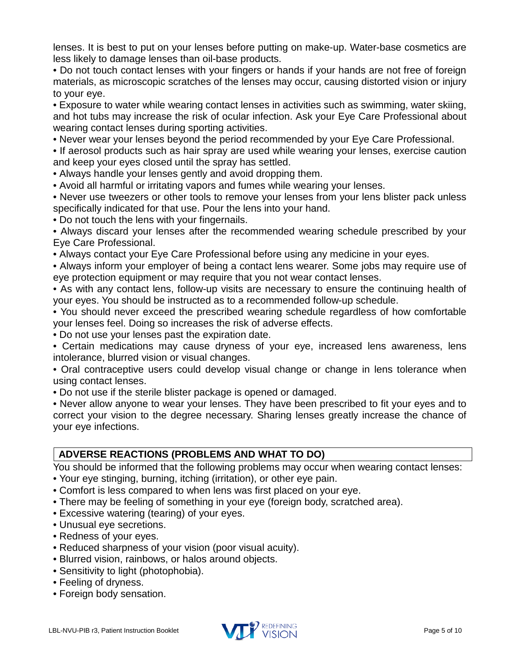lenses. It is best to put on your lenses before putting on make-up. Water-base cosmetics are less likely to damage lenses than oil-base products.

• Do not touch contact lenses with your fingers or hands if your hands are not free of foreign materials, as microscopic scratches of the lenses may occur, causing distorted vision or injury to your eye.

• Exposure to water while wearing contact lenses in activities such as swimming, water skiing, and hot tubs may increase the risk of ocular infection. Ask your Eye Care Professional about wearing contact lenses during sporting activities.

• Never wear your lenses beyond the period recommended by your Eye Care Professional.

• If aerosol products such as hair spray are used while wearing your lenses, exercise caution and keep your eyes closed until the spray has settled.

• Always handle your lenses gently and avoid dropping them.

• Avoid all harmful or irritating vapors and fumes while wearing your lenses.

• Never use tweezers or other tools to remove your lenses from your lens blister pack unless specifically indicated for that use. Pour the lens into your hand.

• Do not touch the lens with your fingernails.

• Always discard your lenses after the recommended wearing schedule prescribed by your Eye Care Professional.

• Always contact your Eye Care Professional before using any medicine in your eyes.

• Always inform your employer of being a contact lens wearer. Some jobs may require use of eye protection equipment or may require that you not wear contact lenses.

• As with any contact lens, follow-up visits are necessary to ensure the continuing health of your eyes. You should be instructed as to a recommended follow-up schedule.

• You should never exceed the prescribed wearing schedule regardless of how comfortable your lenses feel. Doing so increases the risk of adverse effects.

• Do not use your lenses past the expiration date.

• Certain medications may cause dryness of your eye, increased lens awareness, lens intolerance, blurred vision or visual changes.

• Oral contraceptive users could develop visual change or change in lens tolerance when using contact lenses.

• Do not use if the sterile blister package is opened or damaged.

• Never allow anyone to wear your lenses. They have been prescribed to fit your eyes and to correct your vision to the degree necessary. Sharing lenses greatly increase the chance of your eye infections.

# <span id="page-4-0"></span>**ADVERSE REACTIONS (PROBLEMS AND WHAT TO DO)**

You should be informed that the following problems may occur when wearing contact lenses:

- Your eye stinging, burning, itching (irritation), or other eye pain.
- Comfort is less compared to when lens was first placed on your eye.
- There may be feeling of something in your eye (foreign body, scratched area).
- Excessive watering (tearing) of your eyes.
- Unusual eye secretions.
- Redness of your eyes.
- Reduced sharpness of your vision (poor visual acuity).
- Blurred vision, rainbows, or halos around objects.
- Sensitivity to light (photophobia).
- Feeling of dryness.
- Foreign body sensation.

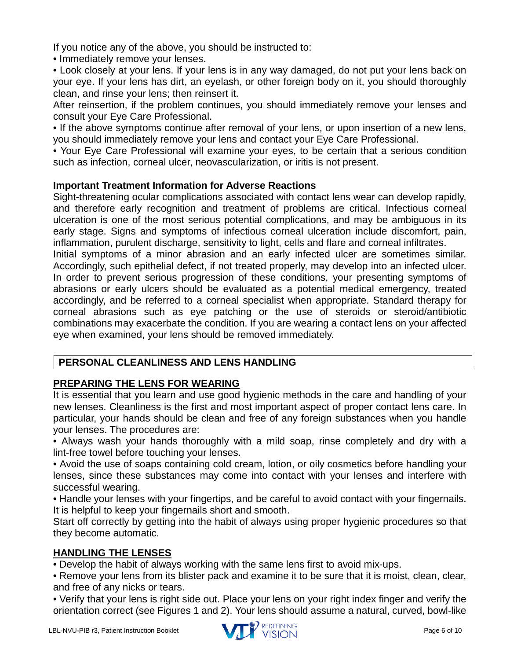If you notice any of the above, you should be instructed to:

• Immediately remove your lenses.

• Look closely at your lens. If your lens is in any way damaged, do not put your lens back on your eye. If your lens has dirt, an eyelash, or other foreign body on it, you should thoroughly clean, and rinse your lens; then reinsert it.

After reinsertion, if the problem continues, you should immediately remove your lenses and consult your Eye Care Professional.

• If the above symptoms continue after removal of your lens, or upon insertion of a new lens, you should immediately remove your lens and contact your Eye Care Professional.

• Your Eye Care Professional will examine your eyes, to be certain that a serious condition such as infection, corneal ulcer, neovascularization, or iritis is not present.

#### **Important Treatment Information for Adverse Reactions**

Sight-threatening ocular complications associated with contact lens wear can develop rapidly, and therefore early recognition and treatment of problems are critical. Infectious corneal ulceration is one of the most serious potential complications, and may be ambiguous in its early stage. Signs and symptoms of infectious corneal ulceration include discomfort, pain, inflammation, purulent discharge, sensitivity to light, cells and flare and corneal infiltrates.

Initial symptoms of a minor abrasion and an early infected ulcer are sometimes similar. Accordingly, such epithelial defect, if not treated properly, may develop into an infected ulcer. In order to prevent serious progression of these conditions, your presenting symptoms of abrasions or early ulcers should be evaluated as a potential medical emergency, treated accordingly, and be referred to a corneal specialist when appropriate. Standard therapy for corneal abrasions such as eye patching or the use of steroids or steroid/antibiotic combinations may exacerbate the condition. If you are wearing a contact lens on your affected eye when examined, your lens should be removed immediately.

# <span id="page-5-0"></span>**PERSONAL CLEANLINESS AND LENS HANDLING**

# <span id="page-5-1"></span>**PREPARING THE LENS FOR WEARING**

It is essential that you learn and use good hygienic methods in the care and handling of your new lenses. Cleanliness is the first and most important aspect of proper contact lens care. In particular, your hands should be clean and free of any foreign substances when you handle your lenses. The procedures are:

• Always wash your hands thoroughly with a mild soap, rinse completely and dry with a lint-free towel before touching your lenses.

• Avoid the use of soaps containing cold cream, lotion, or oily cosmetics before handling your lenses, since these substances may come into contact with your lenses and interfere with successful wearing.

• Handle your lenses with your fingertips, and be careful to avoid contact with your fingernails. It is helpful to keep your fingernails short and smooth.

Start off correctly by getting into the habit of always using proper hygienic procedures so that they become automatic.

# <span id="page-5-2"></span>**HANDLING THE LENSES**

• Develop the habit of always working with the same lens first to avoid mix-ups.

• Remove your lens from its blister pack and examine it to be sure that it is moist, clean, clear, and free of any nicks or tears.

• Verify that your lens is right side out. Place your lens on your right index finger and verify the orientation correct (see Figures 1 and 2). Your lens should assume a natural, curved, bowl-like

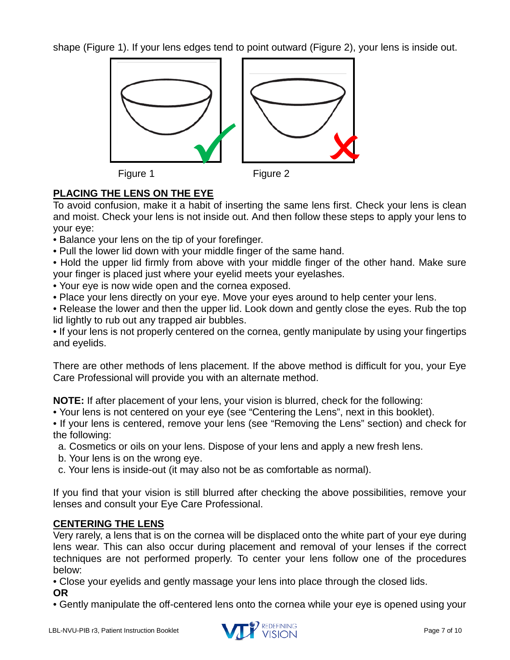shape (Figure 1). If your lens edges tend to point outward (Figure 2), your lens is inside out.







# <span id="page-6-0"></span>**PLACING THE LENS ON THE EYE**

To avoid confusion, make it a habit of inserting the same lens first. Check your lens is clean and moist. Check your lens is not inside out. And then follow these steps to apply your lens to your eye:

- Balance your lens on the tip of your forefinger.
- Pull the lower lid down with your middle finger of the same hand.
- Hold the upper lid firmly from above with your middle finger of the other hand. Make sure your finger is placed just where your eyelid meets your eyelashes.
- Your eye is now wide open and the cornea exposed.
- Place your lens directly on your eye. Move your eyes around to help center your lens.
- Release the lower and then the upper lid. Look down and gently close the eyes. Rub the top lid lightly to rub out any trapped air bubbles.

• If your lens is not properly centered on the cornea, gently manipulate by using your fingertips and eyelids.

There are other methods of lens placement. If the above method is difficult for you, your Eye Care Professional will provide you with an alternate method.

**NOTE:** If after placement of your lens, your vision is blurred, check for the following:

• Your lens is not centered on your eye (see "Centering the Lens", next in this booklet).

• If your lens is centered, remove your lens (see "Removing the Lens" section) and check for the following:

- a. Cosmetics or oils on your lens. Dispose of your lens and apply a new fresh lens.
- b. Your lens is on the wrong eye.
- c. Your lens is inside-out (it may also not be as comfortable as normal).

If you find that your vision is still blurred after checking the above possibilities, remove your lenses and consult your Eye Care Professional.

# <span id="page-6-1"></span>**CENTERING THE LENS**

Very rarely, a lens that is on the cornea will be displaced onto the white part of your eye during lens wear. This can also occur during placement and removal of your lenses if the correct techniques are not performed properly. To center your lens follow one of the procedures below:

• Close your eyelids and gently massage your lens into place through the closed lids. **OR**

• Gently manipulate the off-centered lens onto the cornea while your eye is opened using your

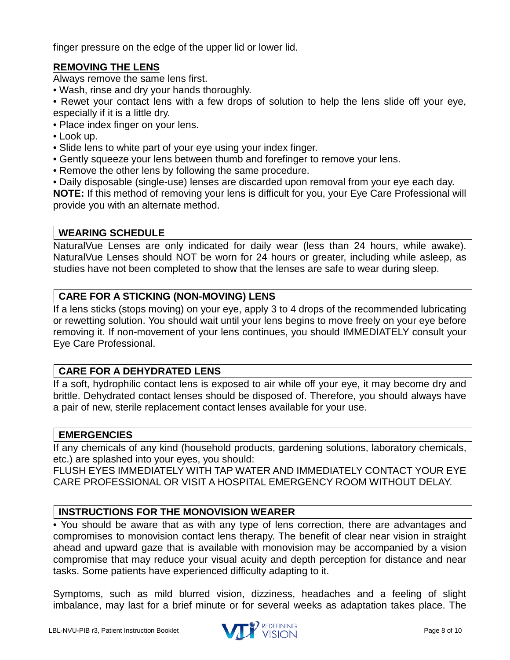finger pressure on the edge of the upper lid or lower lid.

#### <span id="page-7-0"></span>**REMOVING THE LENS**

Always remove the same lens first.

• Wash, rinse and dry your hands thoroughly.

• Rewet your contact lens with a few drops of solution to help the lens slide off your eye, especially if it is a little dry.

- Place index finger on your lens.
- Look up.
- Slide lens to white part of your eye using your index finger.
- Gently squeeze your lens between thumb and forefinger to remove your lens.
- Remove the other lens by following the same procedure.
- Daily disposable (single-use) lenses are discarded upon removal from your eye each day.

**NOTE:** If this method of removing your lens is difficult for you, your Eye Care Professional will provide you with an alternate method.

#### <span id="page-7-1"></span>**WEARING SCHEDULE**

NaturalVue Lenses are only indicated for daily wear (less than 24 hours, while awake). NaturalVue Lenses should NOT be worn for 24 hours or greater, including while asleep, as studies have not been completed to show that the lenses are safe to wear during sleep.

#### <span id="page-7-2"></span>**CARE FOR A STICKING (NON-MOVING) LENS**

If a lens sticks (stops moving) on your eye, apply 3 to 4 drops of the recommended lubricating or rewetting solution. You should wait until your lens begins to move freely on your eye before removing it. If non-movement of your lens continues, you should IMMEDIATELY consult your Eye Care Professional.

#### <span id="page-7-3"></span>**CARE FOR A DEHYDRATED LENS**

If a soft, hydrophilic contact lens is exposed to air while off your eye, it may become dry and brittle. Dehydrated contact lenses should be disposed of. Therefore, you should always have a pair of new, sterile replacement contact lenses available for your use.

#### <span id="page-7-4"></span>**EMERGENCIES**

If any chemicals of any kind (household products, gardening solutions, laboratory chemicals, etc.) are splashed into your eyes, you should:

FLUSH EYES IMMEDIATELY WITH TAP WATER AND IMMEDIATELY CONTACT YOUR EYE CARE PROFESSIONAL OR VISIT A HOSPITAL EMERGENCY ROOM WITHOUT DELAY.

# <span id="page-7-5"></span>**INSTRUCTIONS FOR THE MONOVISION WEARER**

• You should be aware that as with any type of lens correction, there are advantages and compromises to monovision contact lens therapy. The benefit of clear near vision in straight ahead and upward gaze that is available with monovision may be accompanied by a vision compromise that may reduce your visual acuity and depth perception for distance and near tasks. Some patients have experienced difficulty adapting to it.

Symptoms, such as mild blurred vision, dizziness, headaches and a feeling of slight imbalance, may last for a brief minute or for several weeks as adaptation takes place. The

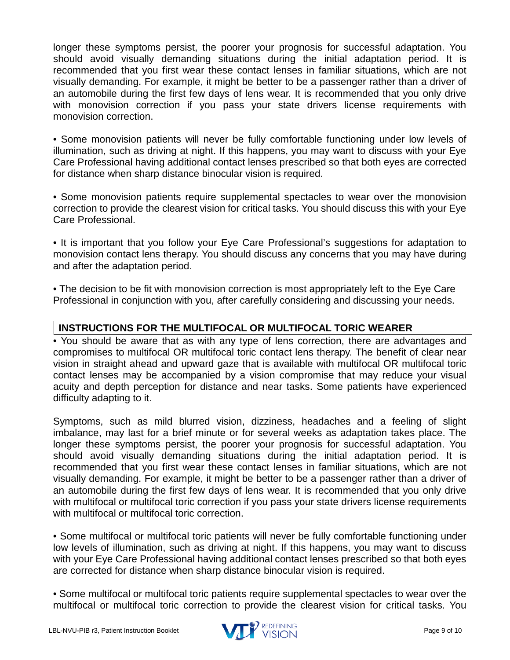longer these symptoms persist, the poorer your prognosis for successful adaptation. You should avoid visually demanding situations during the initial adaptation period. It is recommended that you first wear these contact lenses in familiar situations, which are not visually demanding. For example, it might be better to be a passenger rather than a driver of an automobile during the first few days of lens wear. It is recommended that you only drive with monovision correction if you pass your state drivers license requirements with monovision correction.

• Some monovision patients will never be fully comfortable functioning under low levels of illumination, such as driving at night. If this happens, you may want to discuss with your Eye Care Professional having additional contact lenses prescribed so that both eyes are corrected for distance when sharp distance binocular vision is required.

• Some monovision patients require supplemental spectacles to wear over the monovision correction to provide the clearest vision for critical tasks. You should discuss this with your Eye Care Professional.

• It is important that you follow your Eye Care Professional's suggestions for adaptation to monovision contact lens therapy. You should discuss any concerns that you may have during and after the adaptation period.

• The decision to be fit with monovision correction is most appropriately left to the Eye Care Professional in conjunction with you, after carefully considering and discussing your needs.

# <span id="page-8-0"></span>**INSTRUCTIONS FOR THE MULTIFOCAL OR MULTIFOCAL TORIC WEARER**

• You should be aware that as with any type of lens correction, there are advantages and compromises to multifocal OR multifocal toric contact lens therapy. The benefit of clear near vision in straight ahead and upward gaze that is available with multifocal OR multifocal toric contact lenses may be accompanied by a vision compromise that may reduce your visual acuity and depth perception for distance and near tasks. Some patients have experienced difficulty adapting to it.

Symptoms, such as mild blurred vision, dizziness, headaches and a feeling of slight imbalance, may last for a brief minute or for several weeks as adaptation takes place. The longer these symptoms persist, the poorer your prognosis for successful adaptation. You should avoid visually demanding situations during the initial adaptation period. It is recommended that you first wear these contact lenses in familiar situations, which are not visually demanding. For example, it might be better to be a passenger rather than a driver of an automobile during the first few days of lens wear. It is recommended that you only drive with multifocal or multifocal toric correction if you pass your state drivers license requirements with multifocal or multifocal toric correction.

• Some multifocal or multifocal toric patients will never be fully comfortable functioning under low levels of illumination, such as driving at night. If this happens, you may want to discuss with your Eye Care Professional having additional contact lenses prescribed so that both eyes are corrected for distance when sharp distance binocular vision is required.

• Some multifocal or multifocal toric patients require supplemental spectacles to wear over the multifocal or multifocal toric correction to provide the clearest vision for critical tasks. You